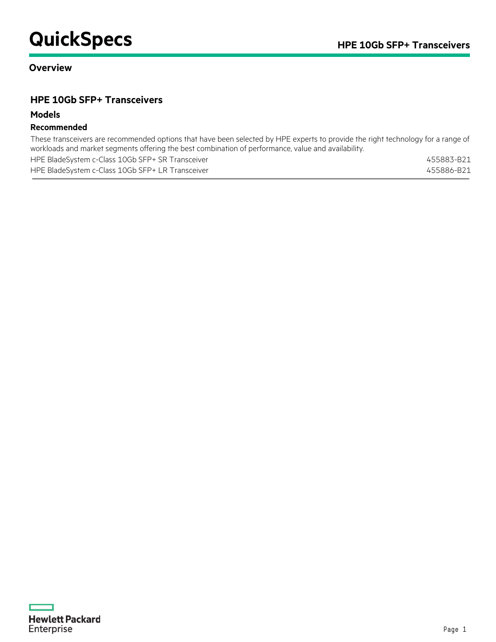# **QuickSpecs HPE** 10Gb SFP+ Transceivers

## **Overview**

## **HPE 10Gb SFP+ Transceivers**

#### **Models**

### **Recommended**

These transceivers are recommended options that have been selected by HPE experts to provide the right technology for a range of workloads and market segments offering the best combination of performance, value and availability.

| HPE BladeSystem c-Class 10Gb SFP+ SR Transceiver | 455883-B21 |
|--------------------------------------------------|------------|
| HPE BladeSystem c-Class 10Gb SFP+ LR Transceiver | 455886-B21 |

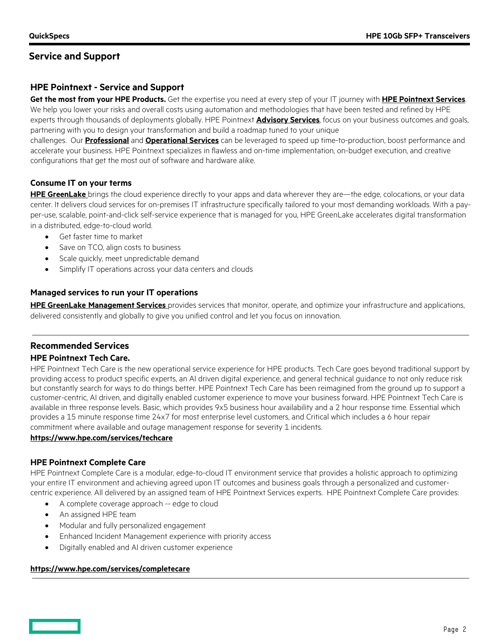## **HPE Pointnext - Service and Support**

**Get the most from your HPE Products.** Get the expertise you need at every step of your IT journey with **[HPE Pointnext Se](https://www.hpe.com/us/en/services.html)rvices**. We help you lower your risks and overall costs using automation and methodologies that have been tested and refined by HPE experts through thousands of deployments globally. HPE Pointnext **[Advisory Services](https://www.hpe.com/us/en/services/consulting.html)**, focus on your business outcomes and goals, partnering with you to design your transformation and build a roadmap tuned to your unique

challenges. Our **[Professional](https://h20195.www2.hpe.com/v2/Getdocument.aspx?docname=a00059438enw)** and **[Operational Services](https://www.hpe.com/us/en/services/operational.html)** can be leveraged to speed up time-to-production, boost performance and accelerate your business. HPE Pointnext specializes in flawless and on-time implementation, on-budget execution, and creative configurations that get the most out of software and hardware alike.

#### **Consume IT on your terms**

**HPE [GreenLake](https://www.hpe.com/GreenLake)** brings the cloud experience directly to your apps and data wherever they are—the edge, colocations, or your data center. It delivers cloud services for on-premises IT infrastructure specifically tailored to your most demanding workloads. With a payper-use, scalable, point-and-click self-service experience that is managed for you, HPE GreenLake accelerates digital transformation in a distributed, edge-to-cloud world.

- Get faster time to market
- Save on TCO, align costs to business
- Scale quickly, meet unpredictable demand
- Simplify IT operations across your data centers and clouds

#### **Managed services to run your IT operations**

**HPE GreenLake [Management Services](https://www.hpe.com/us/en/services/remote-infrastructure-monitoring.html)** provides services that monitor, operate, and optimize your infrastructure and applications, delivered consistently and globally to give you unified control and let you focus on innovation.

#### **Recommended Services**

#### **HPE Pointnext Tech Care.**

HPE Pointnext Tech Care is the new operational service experience for HPE products. Tech Care goes beyond traditional support by providing access to product specific experts, an AI driven digital experience, and general technical guidance to not only reduce risk but constantly search for ways to do things better. HPE Pointnext Tech Care has been reimagined from the ground up to support a customer-centric, AI driven, and digitally enabled customer experience to move your business forward. HPE Pointnext Tech Care is available in three response levels. Basic, which provides 9x5 business hour availability and a 2 hour response time. Essential which provides a 15 minute response time 24x7 for most enterprise level customers, and Critical which includes a 6 hour repair commitment where available and outage management response for severity 1 incidents.

#### **<https://www.hpe.com/services/techcare>**

#### **HPE Pointnext Complete Care**

HPE Pointnext Complete Care is a modular, edge-to-cloud IT environment service that provides a holistic approach to optimizing your entire IT environment and achieving agreed upon IT outcomes and business goals through a personalized and customercentric experience. All delivered by an assigned team of HPE Pointnext Services experts. HPE Pointnext Complete Care provides:

- A complete coverage approach -- edge to cloud
- An assigned HPE team
- Modular and fully personalized engagement
- Enhanced Incident Management experience with priority access
- Digitally enabled and AI driven customer experience

#### **<https://www.hpe.com/services/completecare>**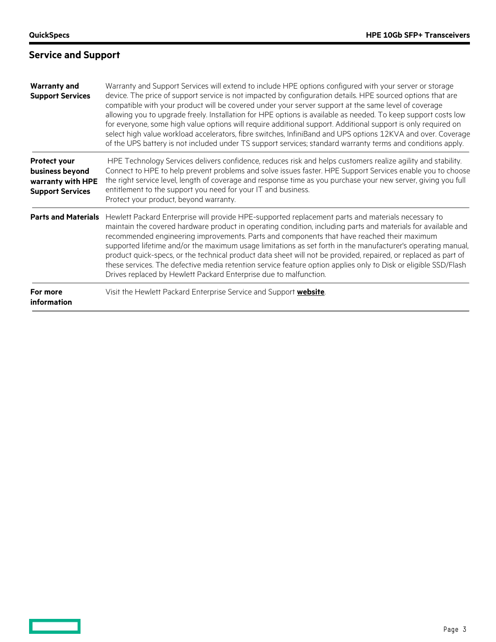<u>and and the set of the set</u>

# **Service and Support**

| <b>Warranty and</b><br><b>Support Services</b>                                                                                                                                                                                                                                                                                                                                                                                                                                                                                                                                                                                                                                                                                                                             | Warranty and Support Services will extend to include HPE options configured with your server or storage<br>device. The price of support service is not impacted by configuration details. HPE sourced options that are<br>compatible with your product will be covered under your server support at the same level of coverage<br>allowing you to upgrade freely. Installation for HPE options is available as needed. To keep support costs low<br>for everyone, some high value options will require additional support. Additional support is only required on<br>select high value workload accelerators, fibre switches, InfiniBand and UPS options 12KVA and over. Coverage<br>of the UPS battery is not included under TS support services; standard warranty terms and conditions apply. |
|----------------------------------------------------------------------------------------------------------------------------------------------------------------------------------------------------------------------------------------------------------------------------------------------------------------------------------------------------------------------------------------------------------------------------------------------------------------------------------------------------------------------------------------------------------------------------------------------------------------------------------------------------------------------------------------------------------------------------------------------------------------------------|--------------------------------------------------------------------------------------------------------------------------------------------------------------------------------------------------------------------------------------------------------------------------------------------------------------------------------------------------------------------------------------------------------------------------------------------------------------------------------------------------------------------------------------------------------------------------------------------------------------------------------------------------------------------------------------------------------------------------------------------------------------------------------------------------|
| Protect your<br>business beyond<br>warranty with HPE<br><b>Support Services</b>                                                                                                                                                                                                                                                                                                                                                                                                                                                                                                                                                                                                                                                                                            | HPE Technology Services delivers confidence, reduces risk and helps customers realize agility and stability.<br>Connect to HPE to help prevent problems and solve issues faster. HPE Support Services enable you to choose<br>the right service level, length of coverage and response time as you purchase your new server, giving you full<br>entitlement to the support you need for your IT and business.<br>Protect your product, beyond warranty.                                                                                                                                                                                                                                                                                                                                          |
| Hewlett Packard Enterprise will provide HPE-supported replacement parts and materials necessary to<br><b>Parts and Materials</b><br>maintain the covered hardware product in operating condition, including parts and materials for available and<br>recommended engineering improvements. Parts and components that have reached their maximum<br>supported lifetime and/or the maximum usage limitations as set forth in the manufacturer's operating manual,<br>product quick-specs, or the technical product data sheet will not be provided, repaired, or replaced as part of<br>these services. The defective media retention service feature option applies only to Disk or eligible SSD/Flash<br>Drives replaced by Hewlett Packard Enterprise due to malfunction. |                                                                                                                                                                                                                                                                                                                                                                                                                                                                                                                                                                                                                                                                                                                                                                                                  |
| For more<br><i>information</i>                                                                                                                                                                                                                                                                                                                                                                                                                                                                                                                                                                                                                                                                                                                                             | Visit the Hewlett Packard Enterprise Service and Support website.                                                                                                                                                                                                                                                                                                                                                                                                                                                                                                                                                                                                                                                                                                                                |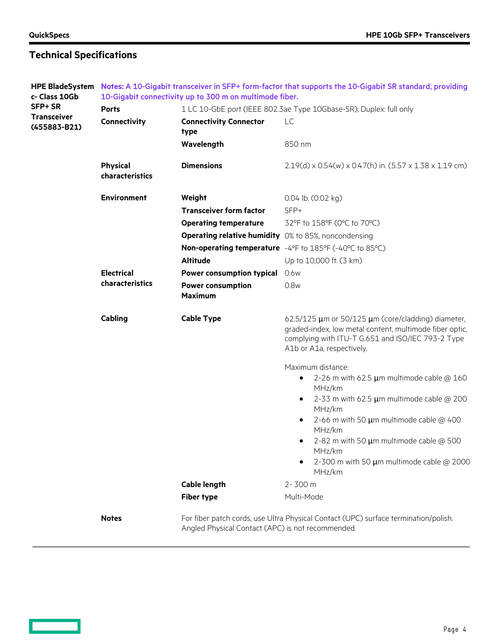<u>and and the set of the set</u>

# **Technical Specifications**

| <b>HPE BladeSystem</b>             | Notes: A 10-Gigabit transceiver in SFP+ form-factor that supports the 10-Gigabit SR standard, providing |                                                             |                                                                                                                                                                                                                                                                                                                                                              |
|------------------------------------|---------------------------------------------------------------------------------------------------------|-------------------------------------------------------------|--------------------------------------------------------------------------------------------------------------------------------------------------------------------------------------------------------------------------------------------------------------------------------------------------------------------------------------------------------------|
| c- Class 10Gb                      | 10-Gigabit connectivity up to 300 m on multimode fiber.                                                 |                                                             |                                                                                                                                                                                                                                                                                                                                                              |
| SFP+ SR                            | <b>Ports</b>                                                                                            |                                                             | 1 LC 10-GbE port (IEEE 802.3ae Type 10Gbase-SR); Duplex: full only                                                                                                                                                                                                                                                                                           |
| <b>Transceiver</b><br>(455883-B21) | Connectivity                                                                                            | <b>Connectivity Connector</b><br>type                       | LC                                                                                                                                                                                                                                                                                                                                                           |
|                                    |                                                                                                         | Wavelength                                                  | 850 nm                                                                                                                                                                                                                                                                                                                                                       |
|                                    | <b>Physical</b><br>characteristics                                                                      | <b>Dimensions</b>                                           | $2.19(d)$ x 0.54(w) x 0.47(h) in. (5.57 x 1.38 x 1.19 cm)                                                                                                                                                                                                                                                                                                    |
|                                    | <b>Environment</b>                                                                                      | Weight                                                      | 0.04 lb. (0.02 kg)                                                                                                                                                                                                                                                                                                                                           |
|                                    |                                                                                                         | <b>Transceiver form factor</b>                              | SFP+                                                                                                                                                                                                                                                                                                                                                         |
|                                    |                                                                                                         | <b>Operating temperature</b>                                | 32°F to 158°F (0°C to 70°C)                                                                                                                                                                                                                                                                                                                                  |
|                                    |                                                                                                         | <b>Operating relative humidity</b> 0% to 85%, noncondensing |                                                                                                                                                                                                                                                                                                                                                              |
|                                    |                                                                                                         |                                                             | Non-operating temperature -4°F to 185°F (-40°C to 85°C)                                                                                                                                                                                                                                                                                                      |
|                                    |                                                                                                         | <b>Altitude</b>                                             | Up to 10,000 ft. (3 km)                                                                                                                                                                                                                                                                                                                                      |
|                                    | <b>Electrical</b>                                                                                       | <b>Power consumption typical</b>                            | 0.6w                                                                                                                                                                                                                                                                                                                                                         |
|                                    | characteristics                                                                                         | <b>Power consumption</b><br><b>Maximum</b>                  | 0.8w                                                                                                                                                                                                                                                                                                                                                         |
|                                    | Cabling                                                                                                 | <b>Cable Type</b>                                           | 62.5/125 $\mu$ m or 50/125 $\mu$ m (core/cladding) diameter,<br>graded-index, low metal content, multimode fiber optic,<br>complying with ITU-T G.651 and ISO/IEC 793-2 Type<br>A1b or A1a, respectively.                                                                                                                                                    |
|                                    |                                                                                                         | <b>Cable length</b><br><b>Fiber type</b>                    | Maximum distance:<br>2-26 m with 62.5 $\mu$ m multimode cable @ 160<br>٠<br>MHz/km<br>2-33 m with 62.5 $\mu$ m multimode cable @ 200<br>MHz/km<br>2-66 m with 50 $\mu$ m multimode cable @ 400<br>MHz/km<br>2-82 m with 50 $\mu$ m multimode cable @ 500<br>٠<br>MHz/km<br>2-300 m with 50 $\mu$ m multimode cable @ 2000<br>MHz/km<br>2-300 m<br>Multi-Mode |
|                                    | <b>Notes</b>                                                                                            | Angled Physical Contact (APC) is not recommended.           | For fiber patch cords, use Ultra Physical Contact (UPC) surface termination/polish.                                                                                                                                                                                                                                                                          |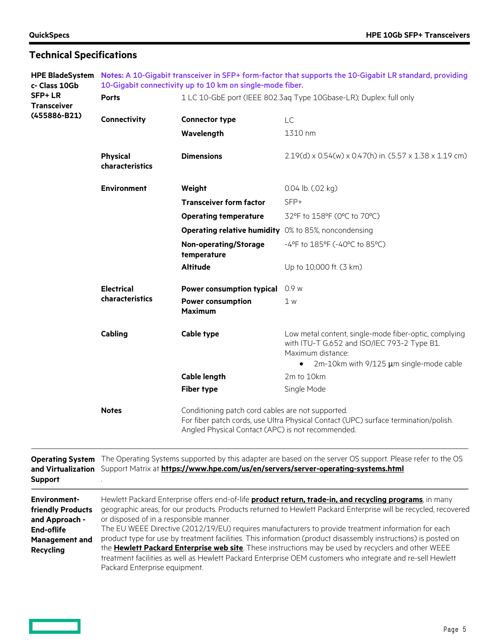| <b>HPE BladeSystem</b><br>c- Class 10Gb                                                                                      | Notes: A 10-Gigabit transceiver in SFP+ form-factor that supports the 10-Gigabit LR standard, providing<br>10-Gigabit connectivity up to 10 km on single-mode fiber.                                                                                                                                                                                                                                                                                                                                                                                                                                                                                                                                                                                         |                                                                                                                                                                                               |                                                                                                                           |  |
|------------------------------------------------------------------------------------------------------------------------------|--------------------------------------------------------------------------------------------------------------------------------------------------------------------------------------------------------------------------------------------------------------------------------------------------------------------------------------------------------------------------------------------------------------------------------------------------------------------------------------------------------------------------------------------------------------------------------------------------------------------------------------------------------------------------------------------------------------------------------------------------------------|-----------------------------------------------------------------------------------------------------------------------------------------------------------------------------------------------|---------------------------------------------------------------------------------------------------------------------------|--|
| <b>SFP+LR</b><br><b>Transceiver</b>                                                                                          | <b>Ports</b>                                                                                                                                                                                                                                                                                                                                                                                                                                                                                                                                                                                                                                                                                                                                                 | 1 LC 10-GbE port (IEEE 802.3aq Type 10Gbase-LR); Duplex: full only                                                                                                                            |                                                                                                                           |  |
| (455886-B21)                                                                                                                 | Connectivity                                                                                                                                                                                                                                                                                                                                                                                                                                                                                                                                                                                                                                                                                                                                                 | <b>Connector type</b>                                                                                                                                                                         | LC                                                                                                                        |  |
|                                                                                                                              |                                                                                                                                                                                                                                                                                                                                                                                                                                                                                                                                                                                                                                                                                                                                                              | Wavelength                                                                                                                                                                                    | 1310 nm                                                                                                                   |  |
|                                                                                                                              | <b>Physical</b><br>characteristics                                                                                                                                                                                                                                                                                                                                                                                                                                                                                                                                                                                                                                                                                                                           | <b>Dimensions</b>                                                                                                                                                                             | $2.19(d)$ x 0.54(w) x 0.47(h) in. (5.57 x 1.38 x 1.19 cm)                                                                 |  |
|                                                                                                                              | <b>Environment</b>                                                                                                                                                                                                                                                                                                                                                                                                                                                                                                                                                                                                                                                                                                                                           | Weight                                                                                                                                                                                        | 0.04 lb. (.02 kg)                                                                                                         |  |
|                                                                                                                              |                                                                                                                                                                                                                                                                                                                                                                                                                                                                                                                                                                                                                                                                                                                                                              | <b>Transceiver form factor</b>                                                                                                                                                                | SFP+                                                                                                                      |  |
|                                                                                                                              |                                                                                                                                                                                                                                                                                                                                                                                                                                                                                                                                                                                                                                                                                                                                                              | <b>Operating temperature</b>                                                                                                                                                                  | 32°F to 158°F (0°C to 70°C)                                                                                               |  |
|                                                                                                                              |                                                                                                                                                                                                                                                                                                                                                                                                                                                                                                                                                                                                                                                                                                                                                              | <b>Operating relative humidity</b> 0% to 85%, noncondensing                                                                                                                                   |                                                                                                                           |  |
|                                                                                                                              |                                                                                                                                                                                                                                                                                                                                                                                                                                                                                                                                                                                                                                                                                                                                                              | <b>Non-operating/Storage</b><br>temperature                                                                                                                                                   | -4°F to 185°F (-40°C to 85°C)                                                                                             |  |
|                                                                                                                              |                                                                                                                                                                                                                                                                                                                                                                                                                                                                                                                                                                                                                                                                                                                                                              | <b>Altitude</b>                                                                                                                                                                               | Up to 10,000 ft. (3 km)                                                                                                   |  |
|                                                                                                                              | <b>Electrical</b>                                                                                                                                                                                                                                                                                                                                                                                                                                                                                                                                                                                                                                                                                                                                            | <b>Power consumption typical</b>                                                                                                                                                              | 0.9 w                                                                                                                     |  |
|                                                                                                                              | characteristics                                                                                                                                                                                                                                                                                                                                                                                                                                                                                                                                                                                                                                                                                                                                              | <b>Power consumption</b><br><b>Maximum</b>                                                                                                                                                    | 1 w                                                                                                                       |  |
|                                                                                                                              | Cabling                                                                                                                                                                                                                                                                                                                                                                                                                                                                                                                                                                                                                                                                                                                                                      | Cable type                                                                                                                                                                                    | Low metal content, single-mode fiber-optic, complying<br>with ITU-T G.652 and ISO/IEC 793-2 Type B1.<br>Maximum distance: |  |
|                                                                                                                              |                                                                                                                                                                                                                                                                                                                                                                                                                                                                                                                                                                                                                                                                                                                                                              |                                                                                                                                                                                               | 2m-10km with $9/125 \mu m$ single-mode cable<br>$\bullet$                                                                 |  |
|                                                                                                                              |                                                                                                                                                                                                                                                                                                                                                                                                                                                                                                                                                                                                                                                                                                                                                              | <b>Cable length</b>                                                                                                                                                                           | 2m to 10km                                                                                                                |  |
|                                                                                                                              |                                                                                                                                                                                                                                                                                                                                                                                                                                                                                                                                                                                                                                                                                                                                                              | <b>Fiber type</b>                                                                                                                                                                             | Single Mode                                                                                                               |  |
|                                                                                                                              | <b>Notes</b>                                                                                                                                                                                                                                                                                                                                                                                                                                                                                                                                                                                                                                                                                                                                                 | Conditioning patch cord cables are not supported.<br>For fiber patch cords, use Ultra Physical Contact (UPC) surface termination/polish.<br>Angled Physical Contact (APC) is not recommended. |                                                                                                                           |  |
| <b>Support</b>                                                                                                               | Operating System The Operating Systems supported by this adapter are based on the server OS support. Please refer to the OS<br>and Virtualization Support Matrix at https://www.hpe.com/us/en/servers/server-operating-systems.html                                                                                                                                                                                                                                                                                                                                                                                                                                                                                                                          |                                                                                                                                                                                               |                                                                                                                           |  |
| <b>Environment-</b><br>friendly Products<br>and Approach -<br><b>End-oflife</b><br><b>Management and</b><br><b>Recycling</b> | Hewlett Packard Enterprise offers end-of-life <b>product return, trade-in, and recycling programs</b> , in many<br>geographic areas, for our products. Products returned to Hewlett Packard Enterprise will be recycled, recovered<br>or disposed of in a responsible manner.<br>The EU WEEE Directive (2012/19/EU) requires manufacturers to provide treatment information for each<br>product type for use by treatment facilities. This information (product disassembly instructions) is posted on<br>the Hewlett Packard Enterprise web site. These instructions may be used by recyclers and other WEEE<br>treatment facilities as well as Hewlett Packard Enterprise OEM customers who integrate and re-sell Hewlett<br>Packard Enterprise equipment. |                                                                                                                                                                                               |                                                                                                                           |  |

# **Technical Specifications**

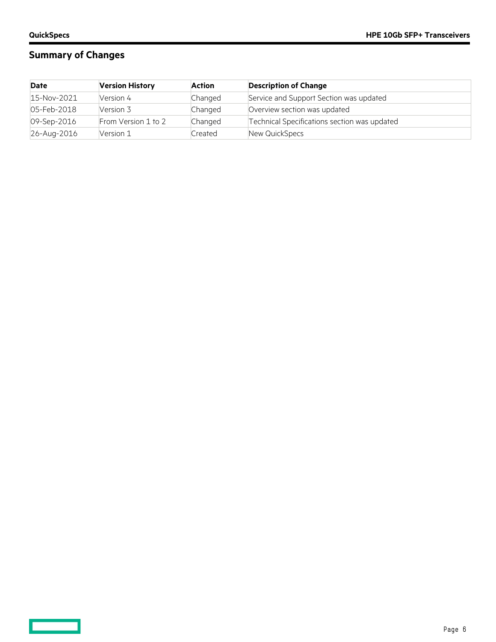<u>and and</u>

## **Summary of Changes**

| <b>Date</b> | <b>Version History</b> | <b>Action</b> | <b>Description of Change</b>                 |
|-------------|------------------------|---------------|----------------------------------------------|
| 15-Nov-2021 | Version 4              | Changed       | Service and Support Section was updated      |
| 05-Feb-2018 | Version 3              | Changed       | Overview section was updated                 |
| 09-Sep-2016 | From Version 1 to 2    | Changed       | Technical Specifications section was updated |
| 26-Aug-2016 | Version 1              | Created       | New QuickSpecs                               |